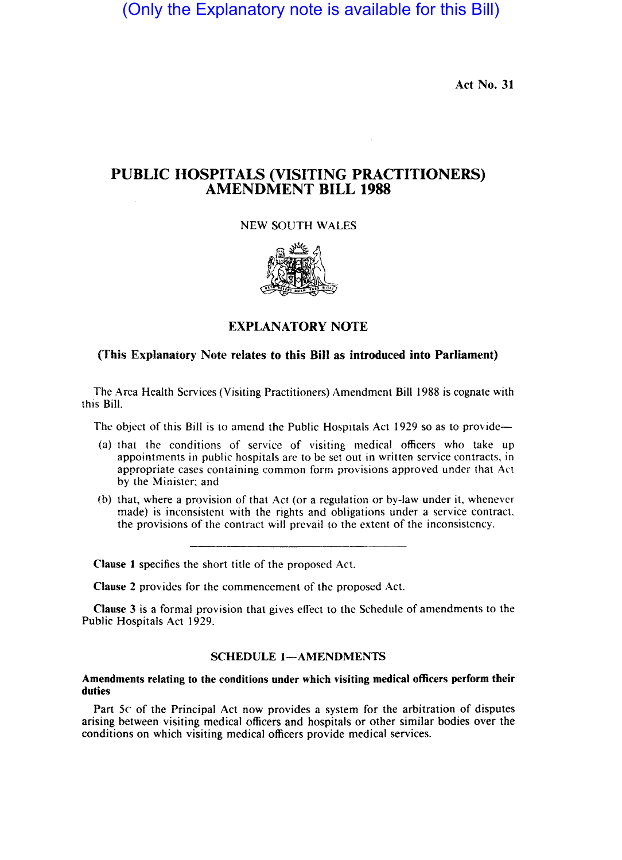(Only the Explanatory note is available for this Bill)

Act No. 31

# PUBLIC HOSPITALS (VISITING PRACTITIONERS) AMENDMENT BILL 1988

NEW SOUTH WALES



## EXPLANATORY NOTE

### (This Explanatory Note relates to this Bill as introduced into Parliament)

The Area Health Services (Visiting Practitioners) Amendment Bill 1988 is cognate with this Bill.

The object of this Bill is to amend the Public Hospitals Act 1929 so as to provide--

- (a) that the conditions of service of visiting medical officers who take up appointments in public hospitals are to be set out in written service contracts, in appropriate cases containing common form provisions approved under that Act by the Minister; and
- (b) that, where a provision of that Act (or a regulation or by-law under it, whenever made) is inconsistent with the rights and obligations under a service contract. the provisions of the contract will prevail to the extent of the inconsistency.

Clause I specifics the short title of the proposed Act.

Clause 2 provides for the commencement of the proposed Act.

Clause 3 is a formal provision that gives effect to the Schedule of amendments to the Public Hospitals Act 1929.

#### SCHEDULE 1-AMENDMENTS

#### Amendments relating to the conditions under which visiting medical officers perform their duties

Part 5c of the Principal Act now provides a system for the arbitration of disputes arising between visiting medical officers and hospitals or other similar bodies over the conditions on which visiting medical officers provide medical services.